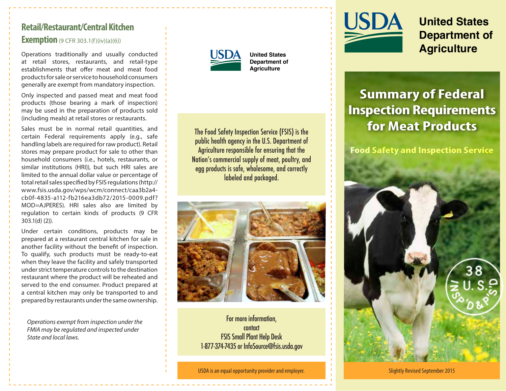# **Retail/Restaurant/Central Kitchen**

## **Exemption** (9 CFR 303.1(f)(iv)(a)(6))

Operations traditionally and usually conducted at retail stores, restaurants, and retail-type establishments that offer meat and meat food products for sale or service to household consumers generally are exempt from mandatory inspection.

Only inspected and passed meat and meat food products (those bearing a mark of inspection) may be used in the preparation of products sold (including meals) at retail stores or restaurants.

Sales must be in normal retail quantities, and certain Federal requirements apply (e.g., safe handling labels are required for raw product). Retail stores may prepare product for sale to other than household consumers (i.e., hotels, restaurants, or similar institutions (HRI)), but such HRI sales are limited to the annual dollar value or percentage of total retail sales specified by FSIS regulations [\(http://](http://www.fsis.usda.gov/wps/wcm/connect/caa3b2a4-cb0f-4835-a112-fb216ea3db72/2015-0009.pdf?MOD=AJPERES) [www.fsis.usda.gov/wps/wcm/connect/caa3b2a4](http://www.fsis.usda.gov/wps/wcm/connect/caa3b2a4-cb0f-4835-a112-fb216ea3db72/2015-0009.pdf?MOD=AJPERES) [cb0f-4835-a112-fb216ea3db72/2015-0009.pdf?](http://www.fsis.usda.gov/wps/wcm/connect/caa3b2a4-cb0f-4835-a112-fb216ea3db72/2015-0009.pdf?MOD=AJPERES)  [MOD=AJPERES](http://www.fsis.usda.gov/wps/wcm/connect/caa3b2a4-cb0f-4835-a112-fb216ea3db72/2015-0009.pdf?MOD=AJPERES)). HRI sales also are limited by regulation to certain kinds of products (9 CFR 303.1(d) (2)).

Under certain conditions, products may be prepared at a restaurant central kitchen for sale in another facility without the benefit of inspection. To qualify, such products must be ready-to-eat when they leave the facility and safely transported under strict temperature controls to the destination restaurant where the product will be reheated and served to the end consumer. Product prepared at a central kitchen may only be transported to and prepared by restaurants under the same ownership.

*Operations exempt from inspection under the FMIA may be regulated and inspected under State and local laws.*



**United States Department of Agriculture**

The Food Safety Inspection Service (FSIS) is the public health agency in the U.S. Department of Agriculture responsible for ensuring that the Nation's commercial supply of meat, poultry, and egg products is safe, wholesome, and correctly labeled and packaged.



For more information, contact FSIS Small Plant Help Desk 1-877-374-7435 or InfoSource@fsis.usda.gov

USDA is an equal opportunity provider and employer.



**United States Department of Agriculture**

# **Summary of Federal Inspection Requirements for Meat Products**

**Food Safety and Inspection Service**



Slightly Revised September 2015